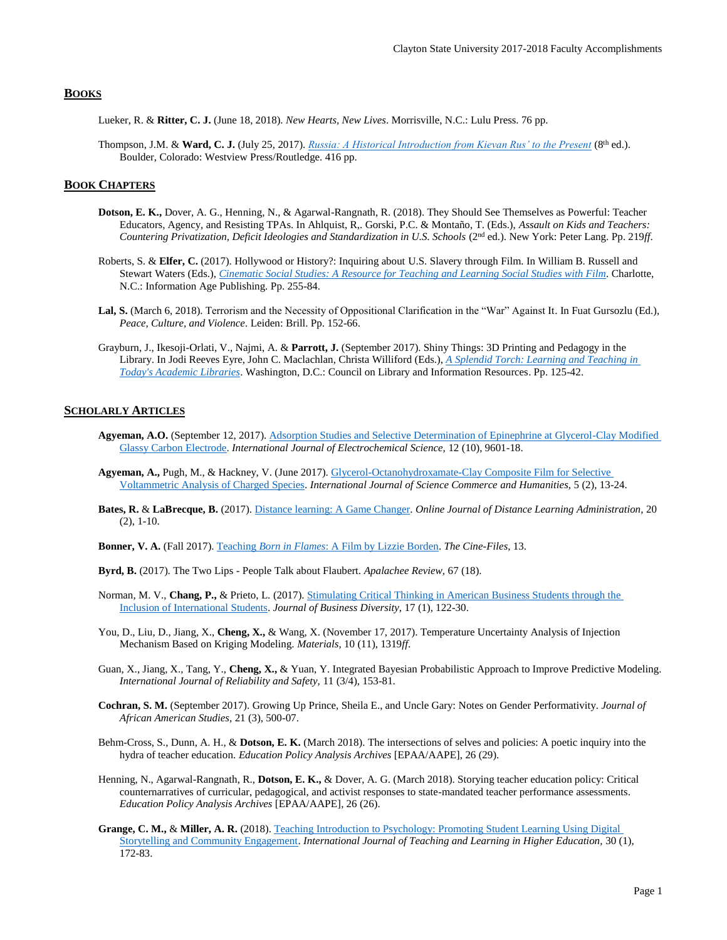# **BOOKS**

- Lueker, R. & **Ritter, C. J.** (June 18, 2018). *New Hearts, New Lives*. Morrisville, N.C.: Lulu Press. 76 pp.
- Thompson, J.M. & **Ward, C. J.** (July 25, 2017). *[Russia: A Historical Introduction from Kievan Rus' to the Present](https://www.amazon.com/Russia-Historical-Introduction-Kievan-Present/dp/0813349850)* (8th ed.). Boulder, Colorado: Westview Press/Routledge. 416 pp.

# **BOOK CHAPTERS**

- **Dotson, E. K.,** Dover, A. G., Henning, N., & Agarwal-Rangnath, R. (2018). They Should See Themselves as Powerful: Teacher Educators, Agency, and Resisting TPAs. In Ahlquist, R,. Gorski, P.C. & Montaño, T. (Eds.), *Assault on Kids and Teachers: Countering Privatization, Deficit Ideologies and Standardization in U.S. Schools* (2nd ed.). New York: Peter Lang. Pp. 219*ff*.
- Roberts, S. & **Elfer, C.** (2017). Hollywood or History?: Inquiring about U.S. Slavery through Film. In William B. Russell and Stewart Waters (Eds.), *[Cinematic Social Studies: A Resource for Teaching and Learning Social Studies with Film](https://books.google.com/books?id=3aEWDgAAQBAJ&pg=PA255&lpg=PA255&dq=Hollywood+or+History?:+Inquiring+about+American+Slavery+through+Film&source=bl&ots=P6lmBb4_zk&sig=hI9QFMXtO8vZNkM7RXGJQqGHTx0&hl=en&sa=X&ved=0ahUKEwjZ3_eEnZfcAhVGhuAKHcdID4MQ6AEIRTAD#v=onepage&q=Hollywood%20or%20History%3F%3A%20Inquiring%20about%20American%20Slavery%20through%20Film&f=false)*. Charlotte, N.C.: Information Age Publishing. Pp. 255-84.
- Lal, S. (March 6, 2018). Terrorism and the Necessity of Oppositional Clarification in the "War" Against It. In Fuat Gursozlu (Ed.), *Peace, Culture, and Violence*. Leiden: Brill. Pp. 152-66.
- Grayburn, J., Ikesoji-Orlati, V., Najmi, A. & **Parrott, J.** (September 2017). Shiny Things: 3D Printing and Pedagogy in the Library. In Jodi Reeves Eyre, John C. Maclachlan, Christa Williford (Eds.), *[A Splendid Torch: Learning and Teaching in](https://digitalcommons.unl.edu/cgi/viewcontent.cgi?article=1059&context=scholcom)  [Today's Academic Libraries](https://digitalcommons.unl.edu/cgi/viewcontent.cgi?article=1059&context=scholcom)*. Washington, D.C.: Council on Library and Information Resources. Pp. 125-42.

# **SCHOLARLY ARTICLES**

- **Agyeman, A.O.** (September 12, 2017). [Adsorption Studies and Selective Determination of Epinephrine at Glycerol-Clay Modified](http://www.electrochemsci.org/papers/vol12/121009601.pdf)  [Glassy Carbon Electrode.](http://www.electrochemsci.org/papers/vol12/121009601.pdf) *International Journal of Electrochemical Science,* 12 (10), 9601-18.
- **Agyeman, A.,** Pugh, M., & Hackney, V. (June 2017). [Glycerol-Octanohydroxamate-Clay Composite Film for Selective](https://www.ijsch.com/journaluk/images/frontImages/Glycerol-Octanohydroxamate-Clay_Composite_Film_for_Selective_Voltammetric_Analysis_of_Charged_Species.pdf)  [Voltammetric Analysis of Charged Species.](https://www.ijsch.com/journaluk/images/frontImages/Glycerol-Octanohydroxamate-Clay_Composite_Film_for_Selective_Voltammetric_Analysis_of_Charged_Species.pdf) *International Journal of Science Commerce and Humanities,* 5 (2), 13-24.
- **Bates, R.** & **LaBrecque, B.** (2017)[. Distance learning: A Game Changer.](https://www.westga.edu/~distance/ojdla/summer202/_bates_labrecque202.html) *Online Journal of Distance Learning Administration,* 20 (2), 1-10.
- **Bonner, V. A.** (Fall 2017). Teaching *Born in Flames*[: A Film by Lizzie Borden.](http://www.thecine-files.com/teaching-born-in-flames/) *The Cine-Files*, 13.
- **Byrd, B.** (2017). The Two Lips People Talk about Flaubert. *Apalachee Review,* 67 (18).
- Norman, M. V., **Chang, P.,** & Prieto, L. (2017)[. Stimulating Critical Thinking in American Business Students through the](http://www.na-businesspress.com/JBD/NormanM_Web17_1_.pdf)  [Inclusion of International Students.](http://www.na-businesspress.com/JBD/NormanM_Web17_1_.pdf) *Journal of Business Diversity*, 17 (1), 122-30.
- You, D., Liu, D., Jiang, X., Cheng, X., & Wang, X. (November 17, 2017). Temperature Uncertainty Analysis of Injection Mechanism Based on Kriging Modeling. *Materials,* 10 (11), 1319*ff*.
- Guan, X., Jiang, X., Tang, Y., **Cheng, X.,** & Yuan, Y. Integrated Bayesian Probabilistic Approach to Improve Predictive Modeling. *International Journal of Reliability and Safety,* 11 (3/4), 153-81.
- **Cochran, S. M.** (September 2017). Growing Up Prince, Sheila E., and Uncle Gary: Notes on Gender Performativity. *Journal of African American Studies,* 21 (3), 500-07.
- Behm-Cross, S., Dunn, A. H., & **Dotson, E. K.** (March 2018). The intersections of selves and policies: A poetic inquiry into the hydra of teacher education. *Education Policy Analysis Archives* [EPAA/AAPE], 26 (29).
- Henning, N., Agarwal-Rangnath, R., **Dotson, E. K.,** & Dover, A. G. (March 2018). Storying teacher education policy: Critical counternarratives of curricular, pedagogical, and activist responses to state-mandated teacher performance assessments. *Education Policy Analysis Archives* [EPAA/AAPE], 26 (26).
- **Grange, C. M.,** & **Miller, A. R.** (2018). [Teaching Introduction to Psychology: Promoting Student Learning Using Digital](https://files.eric.ed.gov/fulltext/EJ1169820.pdf)  [Storytelling and Community Engagement.](https://files.eric.ed.gov/fulltext/EJ1169820.pdf) *International Journal of Teaching and Learning in Higher Education,* 30 (1), 172-83.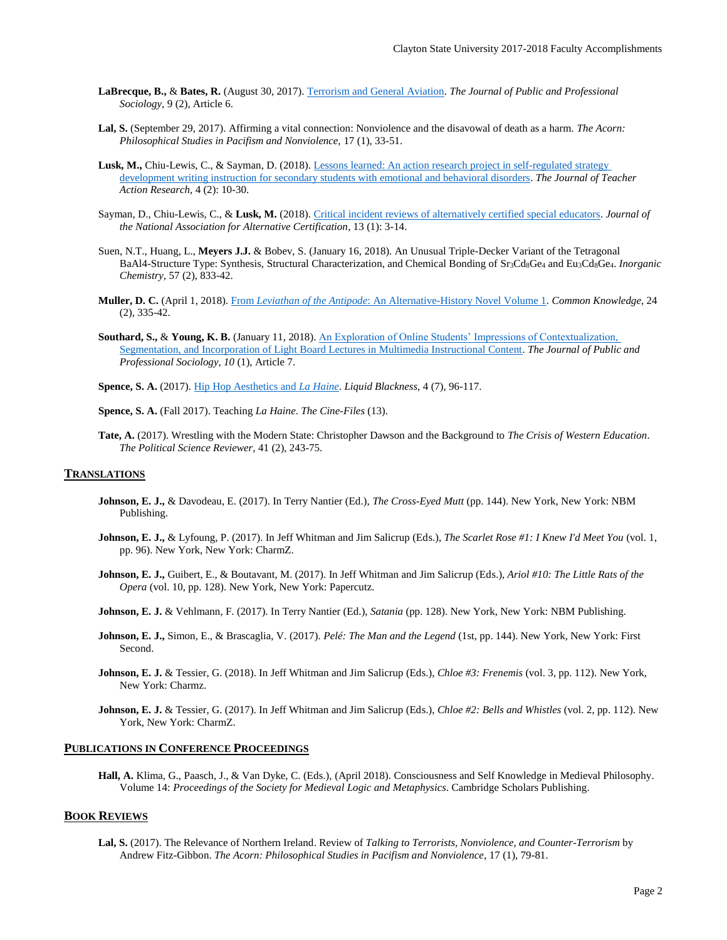- **LaBrecque, B.,** & **Bates, R.** (August 30, 2017)[. Terrorism and General Aviation.](https://digitalcommons.kennesaw.edu/jpps/vol9/iss2/6/) *The Journal of Public and Professional Sociology,* 9 (2), Article 6.
- **Lal, S.** (September 29, 2017). Affirming a vital connection: Nonviolence and the disavowal of death as a harm. *The Acorn: Philosophical Studies in Pacifism and Nonviolence,* 17 (1), 33-51.
- **Lusk, M.,** Chiu-Lewis, C., & Sayman, D. (2018). [Lessons learned: An action research project in self-regulated strategy](http://www.practicalteacherresearch.com/uploads/5/6/2/4/56249715/lessons_learned__secondary_students_with_ebd.pdf)  [development writing instruction for secondary students with emotional and behavioral disorders.](http://www.practicalteacherresearch.com/uploads/5/6/2/4/56249715/lessons_learned__secondary_students_with_ebd.pdf) *The Journal of Teacher Action Research*, 4 (2): 10-30.
- Sayman, D., Chiu-Lewis, C., & **Lusk, M.** (2018). [Critical incident reviews of alternatively certified special educators.](https://www.alternativecertification.org/wp-content/uploads/2018/05/JNAAC-Spring-2018.pdf) *Journal of the National Association for Alternative Certification*, 13 (1): 3-14.
- Suen, N.T., Huang, L., **Meyers J.J.** & Bobev, S. (January 16, 2018). An Unusual Triple-Decker Variant of the Tetragonal BaAl4-Structure Type: Synthesis, Structural Characterization, and Chemical Bonding of Sr3Cd8Ge<sup>4</sup> and Eu3Cd8Ge4. *Inorganic Chemistry,* 57 (2), 833-42.
- **Muller, D. C.** (April 1, 2018). From *Leviathan of the Antipode*[: An Alternative-History Novel Volume 1.](https://read.dukeupress.edu/common-knowledge/article-pdf/24/2/335/529137/0240335.pdf) *Common Knowledge*, 24 (2), 335-42.
- **Southard, S.,** & **Young, K. B.** (January 11, 2018)[. An Exploration of Online Students' Impressions of Contextualization,](https://digitalcommons.kennesaw.edu/jpps/vol10/iss1/7/)  [Segmentation, and Incorporation of Light Board Lectures in Multimedia Instructional Content.](https://digitalcommons.kennesaw.edu/jpps/vol10/iss1/7/) *The Journal of Public and Professional Sociology, 10* (1), Article 7.

**Spence, S. A.** (2017)[. Hip Hop Aesthetics and](http://liquidblackness.com/wp-content/uploads/2017/10/Spence.pdf) *La Haine*. *Liquid Blackness,* 4 (7), 96-117.

**Spence, S. A.** (Fall 2017). Teaching *La Haine*. *The Cine-Files* (13).

**Tate, A.** (2017). Wrestling with the Modern State: Christopher Dawson and the Background to *The Crisis of Western Education*. *The Political Science Reviewer,* 41 (2), 243-75.

### **TRANSLATIONS**

- **Johnson, E. J.,** & Davodeau, E. (2017). In Terry Nantier (Ed.), *The Cross-Eyed Mutt* (pp. 144). New York, New York: NBM Publishing.
- **Johnson, E. J.,** & Lyfoung, P. (2017). In Jeff Whitman and Jim Salicrup (Eds.), *The Scarlet Rose #1: I Knew I'd Meet You* (vol. 1, pp. 96). New York, New York: CharmZ.
- **Johnson, E. J.,** Guibert, E., & Boutavant, M. (2017). In Jeff Whitman and Jim Salicrup (Eds.), *Ariol #10: The Little Rats of the Opera* (vol. 10, pp. 128). New York, New York: Papercutz.
- **Johnson, E. J.** & Vehlmann, F. (2017). In Terry Nantier (Ed.), *Satania* (pp. 128). New York, New York: NBM Publishing.
- **Johnson, E. J.,** Simon, E., & Brascaglia, V. (2017). *Pelé: The Man and the Legend* (1st, pp. 144). New York, New York: First Second.
- **Johnson, E. J.** & Tessier, G. (2018). In Jeff Whitman and Jim Salicrup (Eds.), *Chloe #3: Frenemis* (vol. 3, pp. 112). New York, New York: Charmz.
- **Johnson, E. J.** & Tessier, G. (2017). In Jeff Whitman and Jim Salicrup (Eds.), *Chloe #2: Bells and Whistles* (vol. 2, pp. 112). New York, New York: CharmZ.

#### **PUBLICATIONS IN CONFERENCE PROCEEDINGS**

**Hall, A.** Klima, G., Paasch, J., & Van Dyke, C. (Eds.), (April 2018). Consciousness and Self Knowledge in Medieval Philosophy. Volume 14: *Proceedings of the Society for Medieval Logic and Metaphysics*. Cambridge Scholars Publishing.

## **BOOK REVIEWS**

**Lal, S.** (2017). The Relevance of Northern Ireland. Review of *Talking to Terrorists, Nonviolence, and Counter-Terrorism* by Andrew Fitz-Gibbon. *The Acorn: Philosophical Studies in Pacifism and Nonviolence*, 17 (1), 79-81.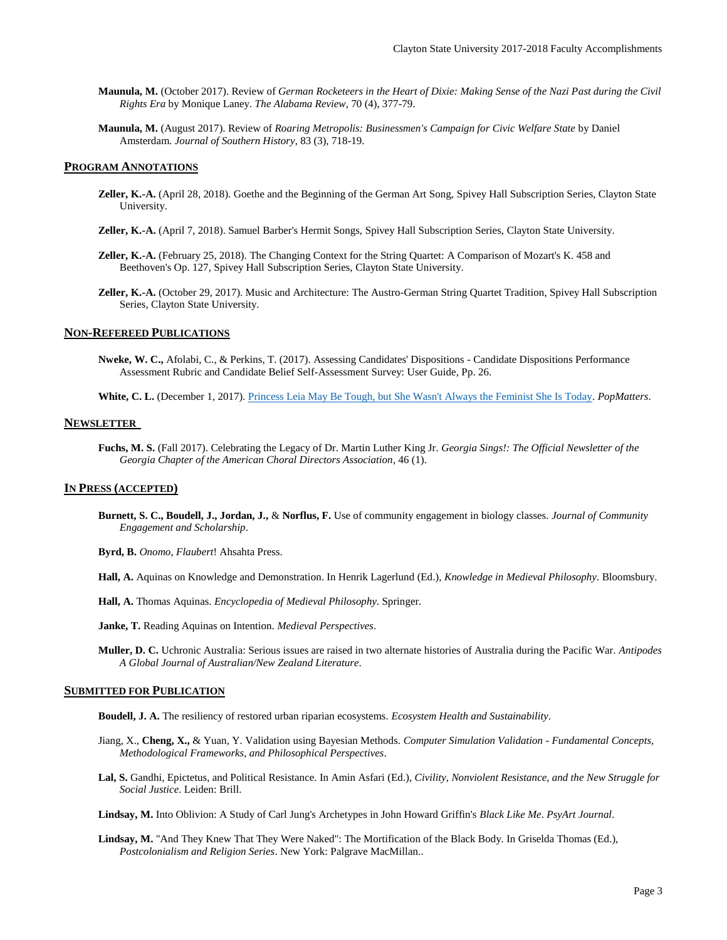- **Maunula, M.** (October 2017). Review of *German Rocketeers in the Heart of Dixie: Making Sense of the Nazi Past during the Civil Rights Era* by Monique Laney. *The Alabama Review*, 70 (4), 377-79.
- **Maunula, M.** (August 2017). Review of *Roaring Metropolis: Businessmen's Campaign for Civic Welfare State* by Daniel Amsterdam. *Journal of Southern History*, 83 (3), 718-19.

### **PROGRAM ANNOTATIONS**

- **Zeller, K.-A.** (April 28, 2018). Goethe and the Beginning of the German Art Song, Spivey Hall Subscription Series, Clayton State University.
- **Zeller, K.-A.** (April 7, 2018). Samuel Barber's Hermit Songs, Spivey Hall Subscription Series, Clayton State University.
- **Zeller, K.-A.** (February 25, 2018). The Changing Context for the String Quartet: A Comparison of Mozart's K. 458 and Beethoven's Op. 127, Spivey Hall Subscription Series, Clayton State University.
- **Zeller, K.-A.** (October 29, 2017). Music and Architecture: The Austro-German String Quartet Tradition, Spivey Hall Subscription Series, Clayton State University.

# **NON-REFEREED PUBLICATIONS**

- **Nweke, W. C.,** Afolabi, C., & Perkins, T. (2017). Assessing Candidates' Dispositions Candidate Dispositions Performance Assessment Rubric and Candidate Belief Self-Assessment Survey: User Guide*,* Pp. 26.
- **White, C. L.** (December 1, 2017). [Princess Leia May Be Tough, but She Wasn't Always the Feminist She Is Today.](https://www.popmatters.com/star-wars-princess-leia-feminist-2513910076.html) *PopMatters*.

#### **NEWSLETTER**

**Fuchs, M. S.** (Fall 2017). Celebrating the Legacy of Dr. Martin Luther King Jr*. Georgia Sings!: The Official Newsletter of the Georgia Chapter of the American Choral Directors Association*, 46 (1).

# **IN PRESS (ACCEPTED)**

**Burnett, S. C., Boudell, J., Jordan, J.,** & **Norflus, F.** Use of community engagement in biology classes. *Journal of Community Engagement and Scholarship*.

**Byrd, B.** *Onomo*, *Flaubert*! Ahsahta Press.

- **Hall, A.** Aquinas on Knowledge and Demonstration. In Henrik Lagerlund (Ed.), *Knowledge in Medieval Philosophy*. Bloomsbury.
- **Hall, A.** Thomas Aquinas. *Encyclopedia of Medieval Philosophy*. Springer.

**Janke, T.** Reading Aquinas on Intention. *Medieval Perspectives*.

**Muller, D. C.** Uchronic Australia: Serious issues are raised in two alternate histories of Australia during the Pacific War. *Antipodes A Global Journal of Australian/New Zealand Literature*.

# **SUBMITTED FOR PUBLICATION**

**Boudell, J. A.** The resiliency of restored urban riparian ecosystems. *Ecosystem Health and Sustainability*.

- Jiang, X., **Cheng, X.,** & Yuan, Y. Validation using Bayesian Methods. *Computer Simulation Validation - Fundamental Concepts, Methodological Frameworks, and Philosophical Perspectives*.
- **Lal, S.** Gandhi, Epictetus, and Political Resistance. In Amin Asfari (Ed.), *Civility, Nonviolent Resistance, and the New Struggle for Social Justice*. Leiden: Brill.

**Lindsay, M.** Into Oblivion: A Study of Carl Jung's Archetypes in John Howard Griffin's *Black Like Me*. *PsyArt Journal*.

**Lindsay, M.** "And They Knew That They Were Naked": The Mortification of the Black Body. In Griselda Thomas (Ed.), *Postcolonialism and Religion Series*. New York: Palgrave MacMillan..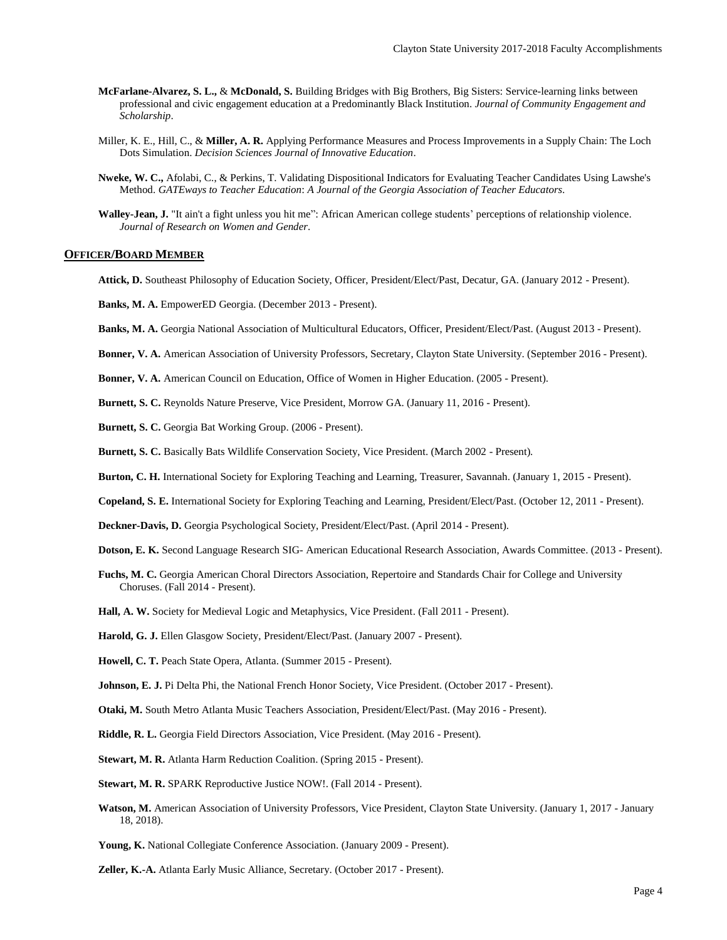- **McFarlane-Alvarez, S. L.,** & **McDonald, S.** Building Bridges with Big Brothers, Big Sisters: Service-learning links between professional and civic engagement education at a Predominantly Black Institution. *Journal of Community Engagement and Scholarship*.
- Miller, K. E., Hill, C., & **Miller, A. R.** Applying Performance Measures and Process Improvements in a Supply Chain: The Loch Dots Simulation. *Decision Sciences Journal of Innovative Education*.
- **Nweke, W. C.,** Afolabi, C., & Perkins, T. Validating Dispositional Indicators for Evaluating Teacher Candidates Using Lawshe's Method. *GATEways to Teacher Education*: *A Journal of the Georgia Association of Teacher Educators.*
- **Walley-Jean, J.** "It ain't a fight unless you hit me": African American college students' perceptions of relationship violence. *Journal of Research on Women and Gender*.

#### **OFFICER/BOARD MEMBER**

**Attick, D.** Southeast Philosophy of Education Society, Officer, President/Elect/Past, Decatur, GA. (January 2012 - Present).

**Banks, M. A.** EmpowerED Georgia. (December 2013 - Present).

**Banks, M. A.** Georgia National Association of Multicultural Educators, Officer, President/Elect/Past. (August 2013 - Present).

**Bonner, V. A.** American Association of University Professors, Secretary, Clayton State University. (September 2016 - Present).

**Bonner, V. A.** American Council on Education, Office of Women in Higher Education. (2005 - Present).

**Burnett, S. C.** Reynolds Nature Preserve, Vice President, Morrow GA. (January 11, 2016 - Present).

**Burnett, S. C.** Georgia Bat Working Group. (2006 - Present).

**Burnett, S. C.** Basically Bats Wildlife Conservation Society, Vice President. (March 2002 - Present).

**Burton, C. H.** International Society for Exploring Teaching and Learning, Treasurer, Savannah. (January 1, 2015 - Present).

**Copeland, S. E.** International Society for Exploring Teaching and Learning, President/Elect/Past. (October 12, 2011 - Present).

**Deckner-Davis, D.** Georgia Psychological Society, President/Elect/Past. (April 2014 - Present).

- **Dotson, E. K.** Second Language Research SIG- American Educational Research Association, Awards Committee. (2013 Present).
- **Fuchs, M. C.** Georgia American Choral Directors Association, Repertoire and Standards Chair for College and University Choruses. (Fall 2014 - Present).
- **Hall, A. W.** Society for Medieval Logic and Metaphysics, Vice President. (Fall 2011 Present).

**Harold, G. J.** Ellen Glasgow Society, President/Elect/Past. (January 2007 - Present).

**Howell, C. T.** Peach State Opera, Atlanta. (Summer 2015 - Present).

**Johnson, E. J.** Pi Delta Phi, the National French Honor Society, Vice President. (October 2017 - Present).

**Otaki, M.** South Metro Atlanta Music Teachers Association, President/Elect/Past. (May 2016 - Present).

**Riddle, R. L.** Georgia Field Directors Association, Vice President. (May 2016 - Present).

**Stewart, M. R.** Atlanta Harm Reduction Coalition. (Spring 2015 - Present).

**Stewart, M. R.** SPARK Reproductive Justice NOW!. (Fall 2014 - Present).

**Watson, M.** American Association of University Professors, Vice President, Clayton State University. (January 1, 2017 - January 18, 2018).

**Young, K.** National Collegiate Conference Association. (January 2009 - Present).

**Zeller, K.-A.** Atlanta Early Music Alliance, Secretary. (October 2017 - Present).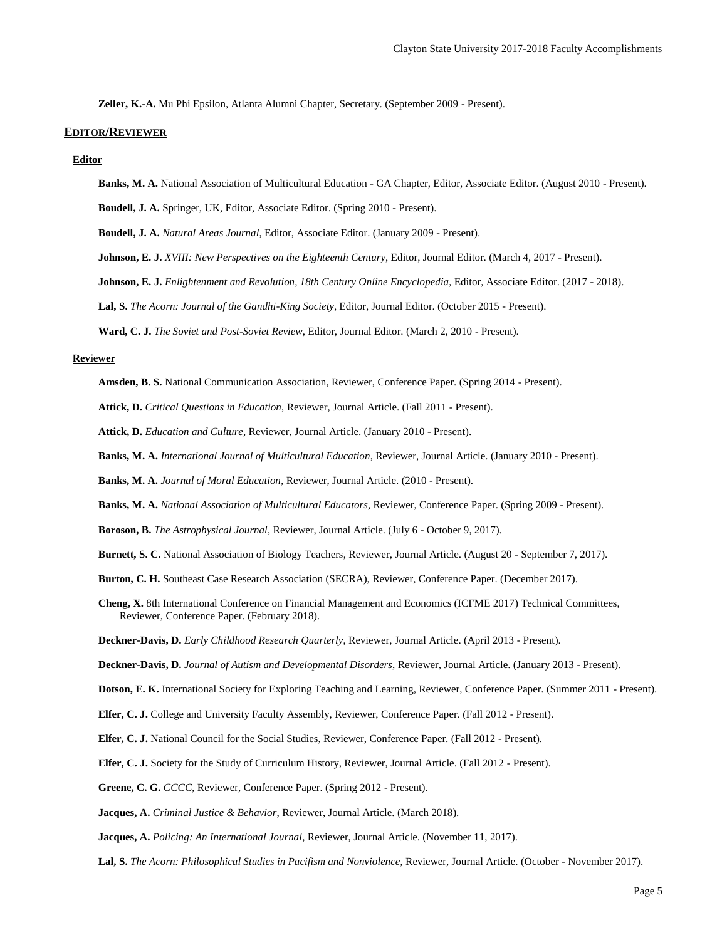**Zeller, K.-A.** Mu Phi Epsilon, Atlanta Alumni Chapter, Secretary. (September 2009 - Present).

#### **EDITOR/REVIEWER**

#### **Editor**

**Banks, M. A.** National Association of Multicultural Education - GA Chapter, Editor, Associate Editor. (August 2010 - Present).

**Boudell, J. A.** Springer, UK, Editor, Associate Editor. (Spring 2010 - Present).

**Boudell, J. A.** *Natural Areas Journal*, Editor, Associate Editor. (January 2009 - Present).

- **Johnson, E. J.** *XVIII: New Perspectives on the Eighteenth Century*, Editor, Journal Editor. (March 4, 2017 Present).
- **Johnson, E. J.** *Enlightenment and Revolution, 18th Century Online Encyclopedia*, Editor, Associate Editor. (2017 2018).

**Lal, S.** *The Acorn: Journal of the Gandhi-King Society*, Editor, Journal Editor. (October 2015 - Present).

**Ward, C. J.** *The Soviet and Post-Soviet Review*, Editor, Journal Editor. (March 2, 2010 - Present).

## **Reviewer**

- **Amsden, B. S.** National Communication Association, Reviewer, Conference Paper. (Spring 2014 Present).
- **Attick, D.** *Critical Questions in Education*, Reviewer, Journal Article. (Fall 2011 Present).
- **Attick, D.** *Education and Culture*, Reviewer, Journal Article. (January 2010 Present).
- **Banks, M. A.** *International Journal of Multicultural Education*, Reviewer, Journal Article. (January 2010 Present).
- **Banks, M. A.** *Journal of Moral Education*, Reviewer, Journal Article. (2010 Present).
- **Banks, M. A.** *National Association of Multicultural Educators*, Reviewer, Conference Paper. (Spring 2009 Present).
- **Boroson, B.** *The Astrophysical Journal*, Reviewer, Journal Article. (July 6 October 9, 2017).
- **Burnett, S. C.** National Association of Biology Teachers, Reviewer, Journal Article. (August 20 September 7, 2017).
- **Burton, C. H.** Southeast Case Research Association (SECRA), Reviewer, Conference Paper. (December 2017).
- **Cheng, X.** 8th International Conference on Financial Management and Economics (ICFME 2017) Technical Committees, Reviewer, Conference Paper. (February 2018).
- **Deckner-Davis, D.** *Early Childhood Research Quarterly*, Reviewer, Journal Article. (April 2013 Present).

**Deckner-Davis, D.** *Journal of Autism and Developmental Disorders*, Reviewer, Journal Article. (January 2013 - Present).

- **Dotson, E. K.** International Society for Exploring Teaching and Learning, Reviewer, Conference Paper. (Summer 2011 Present).
- **Elfer, C. J.** College and University Faculty Assembly, Reviewer, Conference Paper. (Fall 2012 Present).
- **Elfer, C. J.** National Council for the Social Studies, Reviewer, Conference Paper. (Fall 2012 Present).
- **Elfer, C. J.** Society for the Study of Curriculum History, Reviewer, Journal Article. (Fall 2012 Present).
- **Greene, C. G.** *CCCC*, Reviewer, Conference Paper. (Spring 2012 Present).

**Jacques, A.** *Criminal Justice & Behavior*, Reviewer, Journal Article. (March 2018).

**Jacques, A.** *Policing: An International Journal*, Reviewer, Journal Article. (November 11, 2017).

**Lal, S.** *The Acorn: Philosophical Studies in Pacifism and Nonviolence*, Reviewer, Journal Article. (October - November 2017).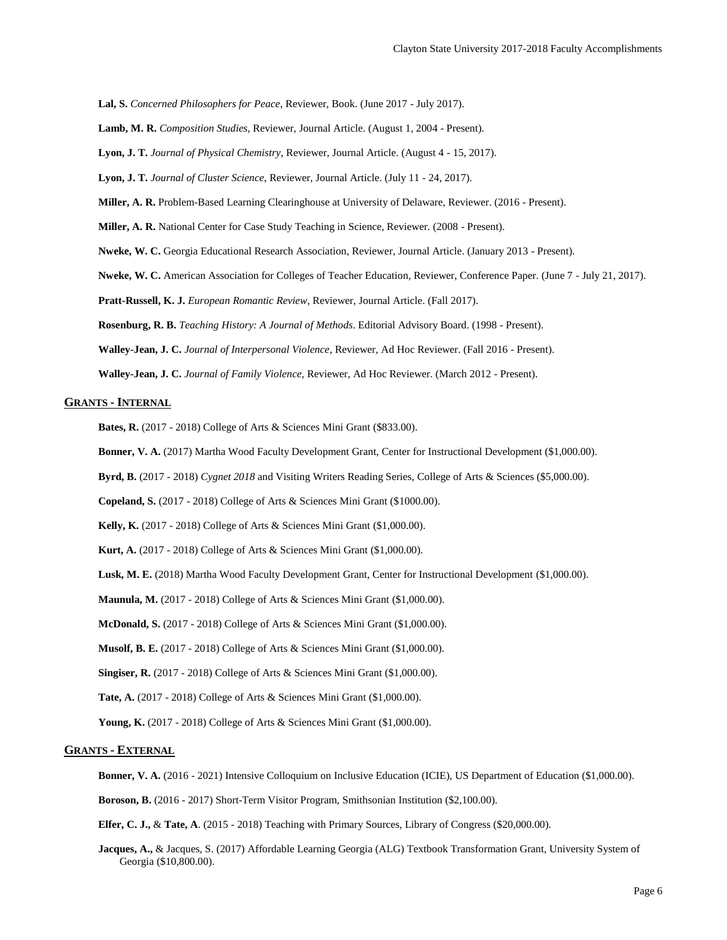**Lal, S.** *Concerned Philosophers for Peace*, Reviewer, Book. (June 2017 - July 2017).

**Lamb, M. R.** *Composition Studies*, Reviewer, Journal Article. (August 1, 2004 - Present).

**Lyon, J. T.** *Journal of Physical Chemistry*, Reviewer, Journal Article. (August 4 - 15, 2017).

**Lyon, J. T.** *Journal of Cluster Science*, Reviewer, Journal Article. (July 11 - 24, 2017).

**Miller, A. R.** Problem-Based Learning Clearinghouse at University of Delaware, Reviewer. (2016 - Present).

**Miller, A. R.** National Center for Case Study Teaching in Science, Reviewer. (2008 - Present).

**Nweke, W. C.** Georgia Educational Research Association, Reviewer, Journal Article. (January 2013 - Present).

**Nweke, W. C.** American Association for Colleges of Teacher Education, Reviewer, Conference Paper. (June 7 - July 21, 2017).

**Pratt-Russell, K. J.** *European Romantic Review*, Reviewer, Journal Article. (Fall 2017).

**Rosenburg, R. B.** *Teaching History: A Journal of Methods*. Editorial Advisory Board. (1998 - Present).

**Walley-Jean, J. C.** *Journal of Interpersonal Violence*, Reviewer, Ad Hoc Reviewer. (Fall 2016 - Present).

**Walley-Jean, J. C.** *Journal of Family Violence*, Reviewer, Ad Hoc Reviewer. (March 2012 - Present).

# **GRANTS - INTERNAL**

**Bates, R.** (2017 - 2018) College of Arts & Sciences Mini Grant (\$833.00).

**Bonner, V. A.** (2017) Martha Wood Faculty Development Grant, Center for Instructional Development (\$1,000.00).

**Byrd, B.** (2017 - 2018) *Cygnet 2018* and Visiting Writers Reading Series, College of Arts & Sciences (\$5,000.00).

**Copeland, S.** (2017 - 2018) College of Arts & Sciences Mini Grant (\$1000.00).

**Kelly, K.** (2017 - 2018) College of Arts & Sciences Mini Grant (\$1,000.00).

**Kurt, A.** (2017 - 2018) College of Arts & Sciences Mini Grant (\$1,000.00).

**Lusk, M. E.** (2018) Martha Wood Faculty Development Grant, Center for Instructional Development (\$1,000.00).

**Maunula, M.** (2017 - 2018) College of Arts & Sciences Mini Grant (\$1,000.00).

**McDonald, S.** (2017 - 2018) College of Arts & Sciences Mini Grant (\$1,000.00).

**Musolf, B. E.** (2017 - 2018) College of Arts & Sciences Mini Grant (\$1,000.00).

**Singiser, R.** (2017 - 2018) College of Arts & Sciences Mini Grant (\$1,000.00).

**Tate, A.** (2017 - 2018) College of Arts & Sciences Mini Grant (\$1,000.00).

**Young, K.** (2017 - 2018) College of Arts & Sciences Mini Grant (\$1,000.00).

# **GRANTS - EXTERNAL**

**Bonner, V. A.** (2016 - 2021) Intensive Colloquium on Inclusive Education (ICIE), US Department of Education (\$1,000.00).

**Boroson, B.** (2016 - 2017) Short-Term Visitor Program, Smithsonian Institution (\$2,100.00).

**Elfer, C. J.,** & **Tate, A**. (2015 - 2018) Teaching with Primary Sources, Library of Congress (\$20,000.00).

**Jacques, A.,** & Jacques, S. (2017) Affordable Learning Georgia (ALG) Textbook Transformation Grant, University System of Georgia (\$10,800.00).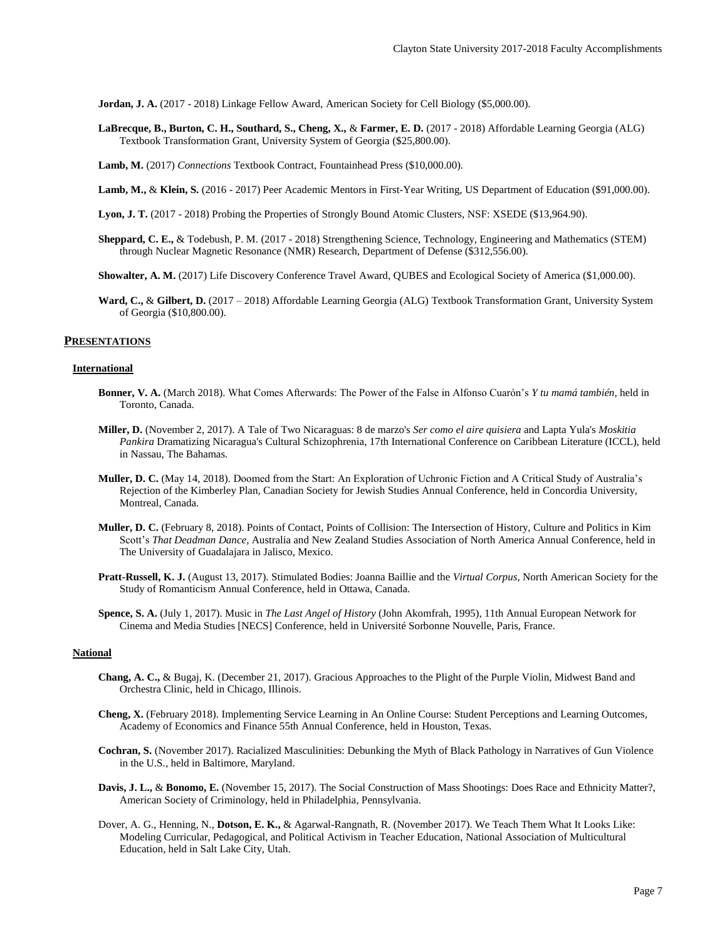**Jordan, J. A.** (2017 - 2018) Linkage Fellow Award, American Society for Cell Biology (\$5,000.00).

**LaBrecque, B., Burton, C. H., Southard, S., Cheng, X.,** & **Farmer, E. D.** (2017 - 2018) Affordable Learning Georgia (ALG) Textbook Transformation Grant, University System of Georgia (\$25,800.00).

**Lamb, M.** (2017) *Connections* Textbook Contract, Fountainhead Press (\$10,000.00).

**Lamb, M.,** & **Klein, S.** (2016 - 2017) Peer Academic Mentors in First-Year Writing, US Department of Education (\$91,000.00).

- **Lyon, J. T.** (2017 2018) Probing the Properties of Strongly Bound Atomic Clusters, NSF: XSEDE (\$13,964.90).
- **Sheppard, C. E.,** & Todebush, P. M. (2017 2018) Strengthening Science, Technology, Engineering and Mathematics (STEM) through Nuclear Magnetic Resonance (NMR) Research, Department of Defense (\$312,556.00).

**Showalter, A. M.** (2017) Life Discovery Conference Travel Award, QUBES and Ecological Society of America (\$1,000.00).

**Ward, C.,** & **Gilbert, D.** (2017 – 2018) Affordable Learning Georgia (ALG) Textbook Transformation Grant, University System of Georgia (\$10,800.00).

## **PRESENTATIONS**

#### **International**

- **Bonner, V. A.** (March 2018). What Comes Afterwards: The Power of the False in Alfonso Cuarón's *Y tu mamá también,* held in Toronto, Canada.
- **Miller, D.** (November 2, 2017). A Tale of Two Nicaraguas: 8 de marzo's *Ser como el aire quisiera* and Lapta Yula's *Moskitia Pankira* Dramatizing Nicaragua's Cultural Schizophrenia*,* 17th International Conference on Caribbean Literature (ICCL), held in Nassau, The Bahamas.
- **Muller, D. C.** (May 14, 2018). Doomed from the Start: An Exploration of Uchronic Fiction and A Critical Study of Australia's Rejection of the Kimberley Plan*,* Canadian Society for Jewish Studies Annual Conference, held in Concordia University, Montreal, Canada.
- **Muller, D. C.** (February 8, 2018). Points of Contact, Points of Collision: The Intersection of History, Culture and Politics in Kim Scott's *That Deadman Dance,* Australia and New Zealand Studies Association of North America Annual Conference, held in The University of Guadalajara in Jalisco, Mexico.
- **Pratt-Russell, K. J.** (August 13, 2017). Stimulated Bodies: Joanna Baillie and the *Virtual Corpus,* North American Society for the Study of Romanticism Annual Conference, held in Ottawa, Canada.
- **Spence, S. A.** (July 1, 2017). Music in *The Last Angel of History* (John Akomfrah, 1995)*,* 11th Annual European Network for Cinema and Media Studies [NECS] Conference, held in Université Sorbonne Nouvelle, Paris, France.

## **National**

- **Chang, A. C.,** & Bugaj, K. (December 21, 2017). Gracious Approaches to the Plight of the Purple Violin*,* Midwest Band and Orchestra Clinic, held in Chicago, Illinois.
- **Cheng, X.** (February 2018). Implementing Service Learning in An Online Course: Student Perceptions and Learning Outcomes*,* Academy of Economics and Finance 55th Annual Conference, held in Houston, Texas.
- **Cochran, S.** (November 2017). Racialized Masculinities: Debunking the Myth of Black Pathology in Narratives of Gun Violence in the U.S*.*, held in Baltimore, Maryland.
- **Davis, J. L.,** & **Bonomo, E.** (November 15, 2017). The Social Construction of Mass Shootings: Does Race and Ethnicity Matter?, American Society of Criminology, held in Philadelphia, Pennsylvania.
- Dover, A. G., Henning, N., **Dotson, E. K.,** & Agarwal-Rangnath, R. (November 2017). We Teach Them What It Looks Like: Modeling Curricular, Pedagogical, and Political Activism in Teacher Education, National Association of Multicultural Education, held in Salt Lake City, Utah.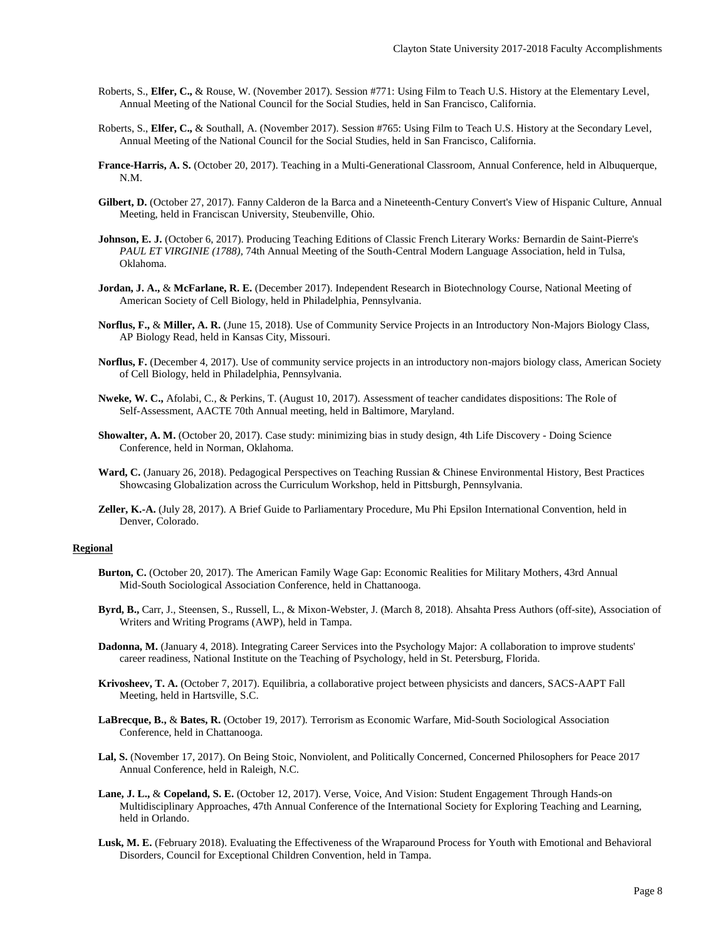- Roberts, S., **Elfer, C.,** & Rouse, W. (November 2017). Session #771: Using Film to Teach U.S. History at the Elementary Level*,* Annual Meeting of the National Council for the Social Studies, held in San Francisco, California.
- Roberts, S., **Elfer, C.,** & Southall, A. (November 2017). Session #765: Using Film to Teach U.S. History at the Secondary Level*,* Annual Meeting of the National Council for the Social Studies, held in San Francisco, California.
- **France-Harris, A. S.** (October 20, 2017). Teaching in a Multi-Generational Classroom*,* Annual Conference, held in Albuquerque, N.M.
- **Gilbert, D.** (October 27, 2017). Fanny Calderon de la Barca and a Nineteenth-Century Convert's View of Hispanic Culture, Annual Meeting, held in Franciscan University, Steubenville, Ohio.
- **Johnson, E. J.** (October 6, 2017). Producing Teaching Editions of Classic French Literary Works*:* Bernardin de Saint-Pierre's *PAUL ET VIRGINIE (1788),* 74th Annual Meeting of the South-Central Modern Language Association, held in Tulsa, Oklahoma.
- **Jordan, J. A.,** & **McFarlane, R. E.** (December 2017). Independent Research in Biotechnology Course*,* National Meeting of American Society of Cell Biology, held in Philadelphia, Pennsylvania.
- **Norflus, F.,** & **Miller, A. R.** (June 15, 2018). Use of Community Service Projects in an Introductory Non-Majors Biology Class*,* AP Biology Read, held in Kansas City, Missouri.
- **Norflus, F.** (December 4, 2017). Use of community service projects in an introductory non-majors biology class*,* American Society of Cell Biology, held in Philadelphia, Pennsylvania.
- **Nweke, W. C.,** Afolabi, C., & Perkins, T. (August 10, 2017). Assessment of teacher candidates dispositions: The Role of Self-Assessment, AACTE 70th Annual meeting, held in Baltimore, Maryland.
- **Showalter, A. M.** (October 20, 2017). Case study: minimizing bias in study design*,* 4th Life Discovery Doing Science Conference, held in Norman, Oklahoma.
- **Ward, C.** (January 26, 2018). Pedagogical Perspectives on Teaching Russian & Chinese Environmental History*,* Best Practices Showcasing Globalization across the Curriculum Workshop, held in Pittsburgh, Pennsylvania.
- **Zeller, K.-A.** (July 28, 2017). A Brief Guide to Parliamentary Procedure*,* Mu Phi Epsilon International Convention, held in Denver, Colorado.

## **Regional**

- **Burton, C.** (October 20, 2017). The American Family Wage Gap: Economic Realities for Military Mothers*,* 43rd Annual Mid-South Sociological Association Conference, held in Chattanooga.
- **Byrd, B.,** Carr, J., Steensen, S., Russell, L., & Mixon-Webster, J. (March 8, 2018). Ahsahta Press Authors (off-site)*,* Association of Writers and Writing Programs (AWP), held in Tampa.
- **Dadonna, M.** (January 4, 2018). Integrating Career Services into the Psychology Major: A collaboration to improve students' career readiness, National Institute on the Teaching of Psychology, held in St. Petersburg, Florida.
- **Krivosheev, T. A.** (October 7, 2017). Equilibria, a collaborative project between physicists and dancers*,* SACS-AAPT Fall Meeting, held in Hartsville, S.C.
- **LaBrecque, B.,** & **Bates, R.** (October 19, 2017). Terrorism as Economic Warfare*,* Mid-South Sociological Association Conference, held in Chattanooga.
- **Lal, S.** (November 17, 2017). On Being Stoic, Nonviolent, and Politically Concerned*,* Concerned Philosophers for Peace 2017 Annual Conference, held in Raleigh, N.C.
- **Lane, J. L.,** & **Copeland, S. E.** (October 12, 2017). Verse, Voice, And Vision: Student Engagement Through Hands-on Multidisciplinary Approaches, 47th Annual Conference of the International Society for Exploring Teaching and Learning, held in Orlando.
- **Lusk, M. E.** (February 2018). Evaluating the Effectiveness of the Wraparound Process for Youth with Emotional and Behavioral Disorders*,* Council for Exceptional Children Convention, held in Tampa.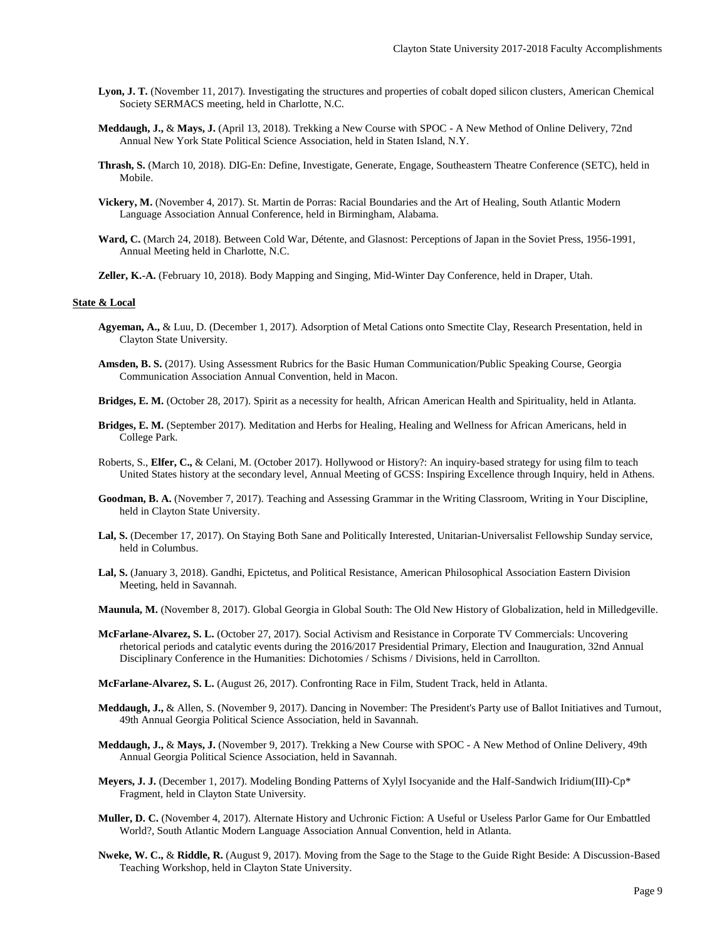- **Lyon, J. T.** (November 11, 2017). Investigating the structures and properties of cobalt doped silicon clusters*,* American Chemical Society SERMACS meeting, held in Charlotte, N.C.
- **Meddaugh, J.,** & **Mays, J.** (April 13, 2018). Trekking a New Course with SPOC *-* A New Method of Online Delivery*,* 72nd Annual New York State Political Science Association, held in Staten Island, N.Y.
- **Thrash, S.** (March 10, 2018). DIG-En: Define, Investigate, Generate, Engage*,* Southeastern Theatre Conference (SETC), held in Mobile.
- **Vickery, M.** (November 4, 2017). St. Martin de Porras: Racial Boundaries and the Art of Healing*,* South Atlantic Modern Language Association Annual Conference, held in Birmingham, Alabama.
- **Ward, C.** (March 24, 2018). Between Cold War, Détente, and Glasnost: Perceptions of Japan in the Soviet Press, 1956-1991*,* Annual Meeting held in Charlotte, N.C.
- **Zeller, K.-A.** (February 10, 2018). Body Mapping and Singing*,* Mid-Winter Day Conference, held in Draper, Utah.

#### **State & Local**

- **Agyeman, A.,** & Luu, D. (December 1, 2017). Adsorption of Metal Cations onto Smectite Clay*,* Research Presentation, held in Clayton State University.
- **Amsden, B. S.** (2017). Using Assessment Rubrics for the Basic Human Communication/Public Speaking Course*,* Georgia Communication Association Annual Convention, held in Macon.
- **Bridges, E. M.** (October 28, 2017). Spirit as a necessity for health*,* African American Health and Spirituality, held in Atlanta.
- **Bridges, E. M.** (September 2017). Meditation and Herbs for Healing*,* Healing and Wellness for African Americans, held in College Park.
- Roberts, S., **Elfer, C.,** & Celani, M. (October 2017). Hollywood or History?: An inquiry-based strategy for using film to teach United States history at the secondary level*,* Annual Meeting of GCSS: Inspiring Excellence through Inquiry, held in Athens.
- **Goodman, B. A.** (November 7, 2017). Teaching and Assessing Grammar in the Writing Classroom*,* Writing in Your Discipline, held in Clayton State University.
- **Lal, S.** (December 17, 2017). On Staying Both Sane and Politically Interested*,* Unitarian-Universalist Fellowship Sunday service, held in Columbus.
- **Lal, S.** (January 3, 2018). Gandhi, Epictetus, and Political Resistance*,* American Philosophical Association Eastern Division Meeting, held in Savannah.
- **Maunula, M.** (November 8, 2017). Global Georgia in Global South: The Old New History of Globalization, held in Milledgeville.
- **McFarlane-Alvarez, S. L.** (October 27, 2017). Social Activism and Resistance in Corporate TV Commercials: Uncovering rhetorical periods and catalytic events during the 2016/2017 Presidential Primary, Election and Inauguration*,* 32nd Annual Disciplinary Conference in the Humanities: Dichotomies / Schisms / Divisions, held in Carrollton.
- **McFarlane-Alvarez, S. L.** (August 26, 2017). Confronting Race in Film*,* Student Track, held in Atlanta.
- **Meddaugh, J.,** & Allen, S. (November 9, 2017). Dancing in November: The President's Party use of Ballot Initiatives and Turnout*,* 49th Annual Georgia Political Science Association, held in Savannah.
- **Meddaugh, J.,** & **Mays, J.** (November 9, 2017). Trekking a New Course with SPOC A New Method of Online Delivery*,* 49th Annual Georgia Political Science Association, held in Savannah.
- **Meyers, J. J.** (December 1, 2017). Modeling Bonding Patterns of Xylyl Isocyanide and the Half-Sandwich Iridium(III)-Cp\* Fragment*,* held in Clayton State University.
- **Muller, D. C.** (November 4, 2017). Alternate History and Uchronic Fiction: A Useful or Useless Parlor Game for Our Embattled World?*,* South Atlantic Modern Language Association Annual Convention, held in Atlanta.
- **Nweke, W. C.,** & **Riddle, R.** (August 9, 2017). Moving from the Sage to the Stage to the Guide Right Beside: A Discussion-Based Teaching Workshop, held in Clayton State University.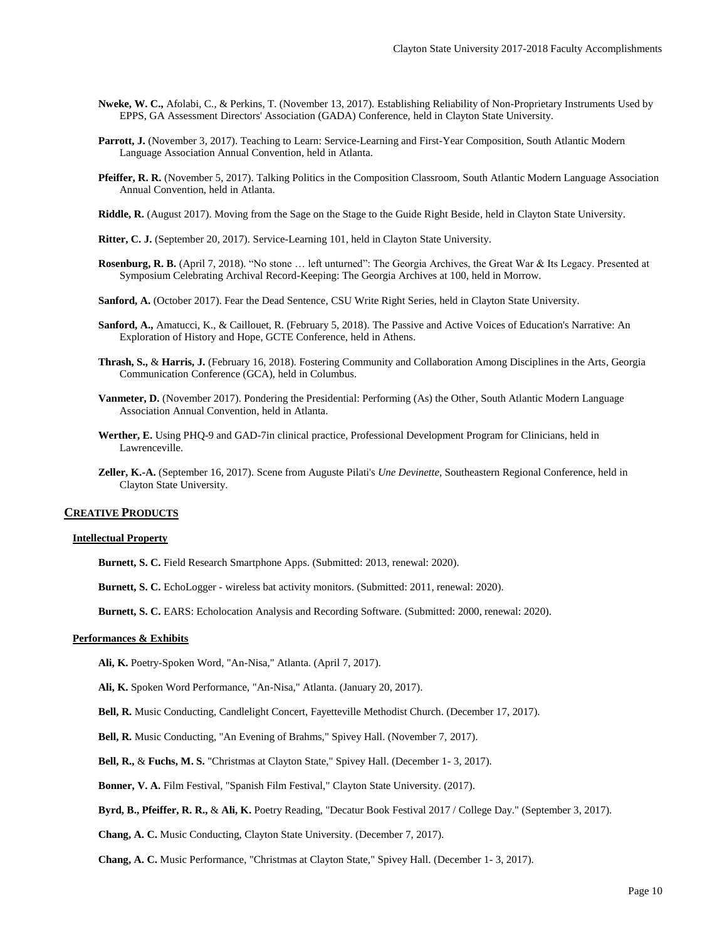- **Nweke, W. C.,** Afolabi, C., & Perkins, T. (November 13, 2017). Establishing Reliability of Non-Proprietary Instruments Used by EPPS, GA Assessment Directors' Association (GADA) Conference, held in Clayton State University.
- **Parrott, J.** (November 3, 2017). Teaching to Learn: Service-Learning and First-Year Composition*,* South Atlantic Modern Language Association Annual Convention, held in Atlanta.
- **Pfeiffer, R. R.** (November 5, 2017). Talking Politics in the Composition Classroom*,* South Atlantic Modern Language Association Annual Convention, held in Atlanta.
- **Riddle, R.** (August 2017). Moving from the Sage on the Stage to the Guide Right Beside*,* held in Clayton State University.
- **Ritter, C. J.** (September 20, 2017). Service-Learning 101, held in Clayton State University.
- **Rosenburg, R. B.** (April 7, 2018). "No stone … left unturned": The Georgia Archives, the Great War & Its Legacy. Presented at Symposium Celebrating Archival Record-Keeping: The Georgia Archives at 100, held in Morrow.
- **Sanford, A.** (October 2017). Fear the Dead Sentence*,* CSU Write Right Series, held in Clayton State University.
- **Sanford, A.,** Amatucci, K., & Caillouet, R. (February 5, 2018). The Passive and Active Voices of Education's Narrative: An Exploration of History and Hope*,* GCTE Conference, held in Athens.
- **Thrash, S.,** & **Harris, J.** (February 16, 2018). Fostering Community and Collaboration Among Disciplines in the Arts*,* Georgia Communication Conference (GCA), held in Columbus.
- **Vanmeter, D.** (November 2017). Pondering the Presidential: Performing (As) the Other*,* South Atlantic Modern Language Association Annual Convention, held in Atlanta.
- **Werther, E.** Using PHQ-9 and GAD-7in clinical practice*,* Professional Development Program for Clinicians, held in Lawrenceville.
- **Zeller, K.-A.** (September 16, 2017). Scene from Auguste Pilati's *Une Devinette,* Southeastern Regional Conference, held in Clayton State University.

#### **CREATIVE PRODUCTS**

# **Intellectual Property**

- **Burnett, S. C.** Field Research Smartphone Apps. (Submitted: 2013, renewal: 2020).
- **Burnett, S. C.** EchoLogger wireless bat activity monitors. (Submitted: 2011, renewal: 2020).

**Burnett, S. C.** EARS: Echolocation Analysis and Recording Software. (Submitted: 2000, renewal: 2020).

# **Performances & Exhibits**

**Ali, K.** Poetry-Spoken Word, "An-Nisa," Atlanta. (April 7, 2017).

**Ali, K.** Spoken Word Performance, "An-Nisa," Atlanta. (January 20, 2017).

**Bell, R.** Music Conducting, Candlelight Concert, Fayetteville Methodist Church. (December 17, 2017).

**Bell, R.** Music Conducting, "An Evening of Brahms," Spivey Hall. (November 7, 2017).

**Bell, R.,** & **Fuchs, M. S.** "Christmas at Clayton State," Spivey Hall. (December 1- 3, 2017).

**Bonner, V. A.** Film Festival, "Spanish Film Festival," Clayton State University. (2017).

**Byrd, B., Pfeiffer, R. R.,** & **Ali, K.** Poetry Reading, "Decatur Book Festival 2017 / College Day." (September 3, 2017).

**Chang, A. C.** Music Conducting, Clayton State University. (December 7, 2017).

**Chang, A. C.** Music Performance, "Christmas at Clayton State," Spivey Hall. (December 1- 3, 2017).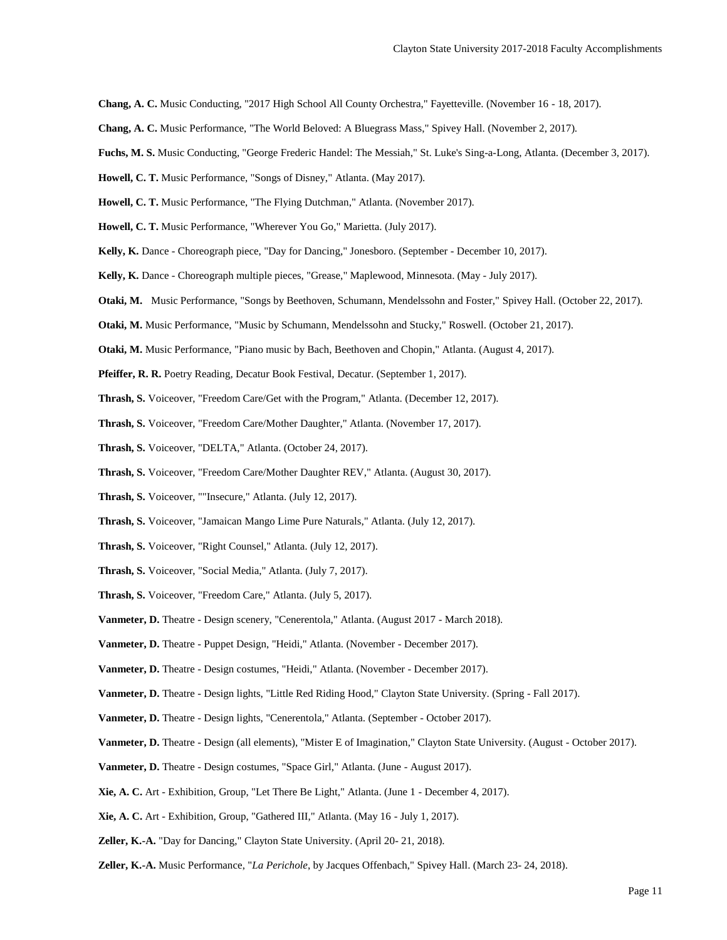**Chang, A. C.** Music Conducting, "2017 High School All County Orchestra," Fayetteville. (November 16 - 18, 2017).

- **Chang, A. C.** Music Performance, "The World Beloved: A Bluegrass Mass," Spivey Hall. (November 2, 2017).
- **Fuchs, M. S.** Music Conducting, "George Frederic Handel: The Messiah," St. Luke's Sing-a-Long, Atlanta. (December 3, 2017).
- **Howell, C. T.** Music Performance, "Songs of Disney," Atlanta. (May 2017).

**Howell, C. T.** Music Performance, "The Flying Dutchman," Atlanta. (November 2017).

- **Howell, C. T.** Music Performance, "Wherever You Go," Marietta. (July 2017).
- **Kelly, K.** Dance Choreograph piece, "Day for Dancing," Jonesboro. (September December 10, 2017).
- **Kelly, K.** Dance Choreograph multiple pieces, "Grease," Maplewood, Minnesota. (May July 2017).
- **Otaki, M.** Music Performance, "Songs by Beethoven, Schumann, Mendelssohn and Foster," Spivey Hall. (October 22, 2017).
- **Otaki, M.** Music Performance, "Music by Schumann, Mendelssohn and Stucky," Roswell. (October 21, 2017).
- **Otaki, M.** Music Performance, "Piano music by Bach, Beethoven and Chopin," Atlanta. (August 4, 2017).
- **Pfeiffer, R. R.** Poetry Reading*,* Decatur Book Festival, Decatur. (September 1, 2017).
- **Thrash, S.** Voiceover, "Freedom Care/Get with the Program," Atlanta. (December 12, 2017).
- **Thrash, S.** Voiceover, "Freedom Care/Mother Daughter," Atlanta. (November 17, 2017).
- **Thrash, S.** Voiceover, "DELTA," Atlanta. (October 24, 2017).
- **Thrash, S.** Voiceover, "Freedom Care/Mother Daughter REV," Atlanta. (August 30, 2017).
- **Thrash, S.** Voiceover, ""Insecure," Atlanta. (July 12, 2017).
- **Thrash, S.** Voiceover, "Jamaican Mango Lime Pure Naturals," Atlanta. (July 12, 2017).
- **Thrash, S.** Voiceover, "Right Counsel," Atlanta. (July 12, 2017).
- **Thrash, S.** Voiceover, "Social Media," Atlanta. (July 7, 2017).
- **Thrash, S.** Voiceover, "Freedom Care," Atlanta. (July 5, 2017).
- Vanmeter, D. Theatre Design scenery, "Cenerentola," Atlanta. (August 2017 March 2018).
- **Vanmeter, D.** Theatre Puppet Design, "Heidi," Atlanta. (November December 2017).
- **Vanmeter, D.** Theatre Design costumes, "Heidi," Atlanta. (November December 2017).
- **Vanmeter, D.** Theatre Design lights, "Little Red Riding Hood," Clayton State University. (Spring Fall 2017).
- **Vanmeter, D.** Theatre Design lights, "Cenerentola," Atlanta. (September October 2017).
- **Vanmeter, D.** Theatre Design (all elements), "Mister E of Imagination," Clayton State University. (August October 2017).
- **Vanmeter, D.** Theatre Design costumes, "Space Girl," Atlanta. (June August 2017).
- **Xie, A. C.** Art Exhibition, Group, "Let There Be Light," Atlanta. (June 1 December 4, 2017).
- **Xie, A. C.** Art Exhibition, Group, "Gathered III," Atlanta. (May 16 July 1, 2017).
- **Zeller, K.-A.** "Day for Dancing," Clayton State University. (April 20- 21, 2018).
- **Zeller, K.-A.** Music Performance, "*La Perichole*, by Jacques Offenbach," Spivey Hall. (March 23- 24, 2018).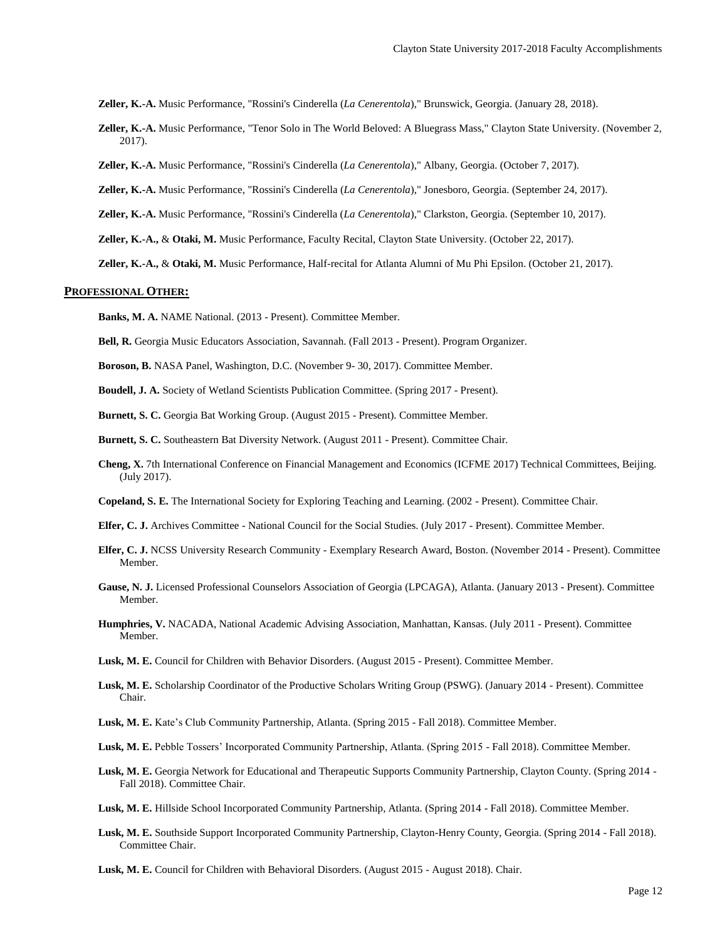**Zeller, K.-A.** Music Performance, "Rossini's Cinderella (*La Cenerentola*)," Brunswick, Georgia. (January 28, 2018).

- **Zeller, K.-A.** Music Performance, "Tenor Solo in The World Beloved: A Bluegrass Mass," Clayton State University. (November 2, 2017).
- **Zeller, K.-A.** Music Performance, "Rossini's Cinderella (*La Cenerentola*)," Albany, Georgia. (October 7, 2017).
- **Zeller, K.-A.** Music Performance, "Rossini's Cinderella (*La Cenerentola*)," Jonesboro, Georgia. (September 24, 2017).
- **Zeller, K.-A.** Music Performance, "Rossini's Cinderella (*La Cenerentola*)," Clarkston, Georgia. (September 10, 2017).
- **Zeller, K.-A.,** & **Otaki, M.** Music Performance, Faculty Recital, Clayton State University. (October 22, 2017).
- **Zeller, K.-A.,** & **Otaki, M.** Music Performance, Half-recital for Atlanta Alumni of Mu Phi Epsilon. (October 21, 2017).

#### **PROFESSIONAL OTHER:**

**Banks, M. A.** NAME National. (2013 - Present). Committee Member.

**Bell, R.** Georgia Music Educators Association, Savannah. (Fall 2013 - Present). Program Organizer.

**Boroson, B.** NASA Panel, Washington, D.C. (November 9- 30, 2017). Committee Member.

**Boudell, J. A.** Society of Wetland Scientists Publication Committee. (Spring 2017 - Present).

**Burnett, S. C.** Georgia Bat Working Group. (August 2015 - Present). Committee Member.

**Burnett, S. C.** Southeastern Bat Diversity Network. (August 2011 - Present). Committee Chair.

- **Cheng, X.** 7th International Conference on Financial Management and Economics (ICFME 2017) Technical Committees, Beijing. (July 2017).
- **Copeland, S. E.** The International Society for Exploring Teaching and Learning. (2002 Present). Committee Chair.
- **Elfer, C. J.** Archives Committee National Council for the Social Studies. (July 2017 Present). Committee Member.
- **Elfer, C. J.** NCSS University Research Community Exemplary Research Award, Boston. (November 2014 Present). Committee Member.
- **Gause, N. J.** Licensed Professional Counselors Association of Georgia (LPCAGA), Atlanta. (January 2013 Present). Committee Member.
- **Humphries, V.** NACADA, National Academic Advising Association, Manhattan, Kansas. (July 2011 Present). Committee Member.
- **Lusk, M. E.** Council for Children with Behavior Disorders. (August 2015 Present). Committee Member.
- **Lusk, M. E.** Scholarship Coordinator of the Productive Scholars Writing Group (PSWG). (January 2014 Present). Committee Chair.
- **Lusk, M. E.** Kate's Club Community Partnership, Atlanta. (Spring 2015 Fall 2018). Committee Member.
- **Lusk, M. E.** Pebble Tossers' Incorporated Community Partnership, Atlanta. (Spring 2015 Fall 2018). Committee Member.
- **Lusk, M. E.** Georgia Network for Educational and Therapeutic Supports Community Partnership, Clayton County. (Spring 2014 Fall 2018). Committee Chair.
- **Lusk, M. E.** Hillside School Incorporated Community Partnership, Atlanta. (Spring 2014 Fall 2018). Committee Member.
- **Lusk, M. E.** Southside Support Incorporated Community Partnership, Clayton-Henry County, Georgia. (Spring 2014 Fall 2018). Committee Chair.
- **Lusk, M. E.** Council for Children with Behavioral Disorders. (August 2015 August 2018). Chair.